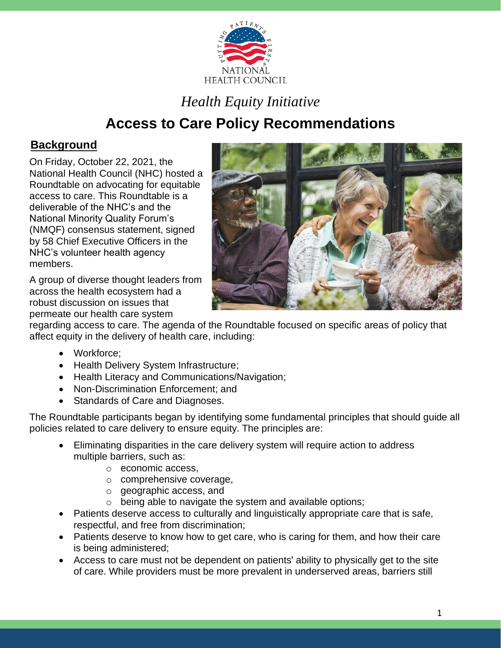

# *Health Equity Initiative*

# **Access to Care Policy Recommendations**

## **Background**

On Friday, October 22, 2021, the National Health Council (NHC) hosted a Roundtable on advocating for equitable access to care. This Roundtable is a deliverable of the NHC's and the National Minority Quality Forum's (NMQF) consensus statement, signed by 58 Chief Executive Officers in the NHC's volunteer health agency members.

A group of diverse thought leaders from across the health ecosystem had a robust discussion on issues that permeate our health care system



regarding access to care. The agenda of the Roundtable focused on specific areas of policy that affect equity in the delivery of health care, including:

- Workforce;
- Health Delivery System Infrastructure;
- Health Literacy and Communications/Navigation;
- Non-Discrimination Enforcement; and
- Standards of Care and Diagnoses.

The Roundtable participants began by identifying some fundamental principles that should guide all policies related to care delivery to ensure equity. The principles are:

- Eliminating disparities in the care delivery system will require action to address multiple barriers, such as:
	- o economic access,
	- o comprehensive coverage,
	- o geographic access, and
	- o being able to navigate the system and available options;
- Patients deserve access to culturally and linguistically appropriate care that is safe, respectful, and free from discrimination;
- Patients deserve to know how to get care, who is caring for them, and how their care is being administered;
- Access to care must not be dependent on patients' ability to physically get to the site of care. While providers must be more prevalent in underserved areas, barriers still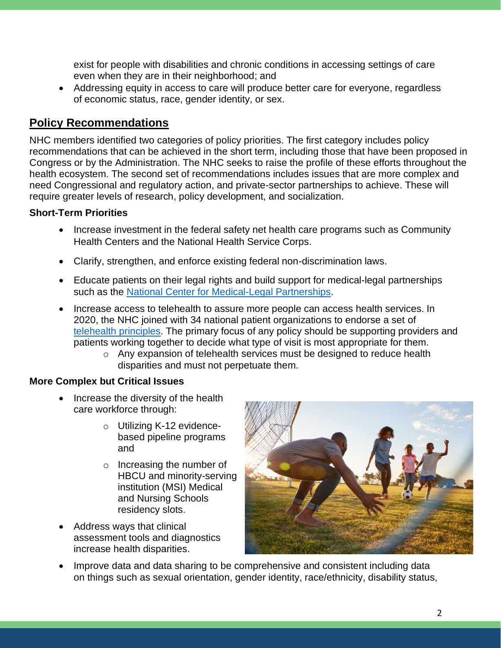exist for people with disabilities and chronic conditions in accessing settings of care even when they are in their neighborhood; and

• Addressing equity in access to care will produce better care for everyone, regardless of economic status, race, gender identity, or sex.

### **Policy Recommendations**

NHC members identified two categories of policy priorities. The first category includes policy recommendations that can be achieved in the short term, including those that have been proposed in Congress or by the Administration. The NHC seeks to raise the profile of these efforts throughout the health ecosystem. The second set of recommendations includes issues that are more complex and need Congressional and regulatory action, and private-sector partnerships to achieve. These will require greater levels of research, policy development, and socialization.

### **Short-Term Priorities**

- Increase investment in the federal safety net health care programs such as Community Health Centers and the National Health Service Corps.
- Clarify, strengthen, and enforce existing federal non-discrimination laws.
- Educate patients on their legal rights and build support for medical-legal partnerships such as the [National Center for Medical-Legal Partnerships.](https://medical-legalpartnership.org/)
- Increase access to telehealth to assure more people can access health services. In 2020, the NHC joined with 34 national patient organizations to endorse a set of telehealth [principles.](https://prismic-io.s3.amazonaws.com/npf-website/12ec08fb-7bc8-4663-9f91-c1583be66c01_FINAL+Principles+for+Telehealth+Policy+_8_27_2020.pdf) The primary focus of any policy should be supporting providers and patients working together to decide what type of visit is most appropriate for them.
	- o Any expansion of telehealth services must be designed to reduce health disparities and must not perpetuate them.

### **More Complex but Critical Issues**

- Increase the diversity of the health care workforce through:
	- o Utilizing K-12 evidencebased pipeline programs and
	- o Increasing the number of HBCU and minority-serving institution (MSI) Medical and Nursing Schools residency slots.
- Address ways that clinical assessment tools and diagnostics increase health disparities.



• Improve data and data sharing to be comprehensive and consistent including data on things such as sexual orientation, gender identity, race/ethnicity, disability status,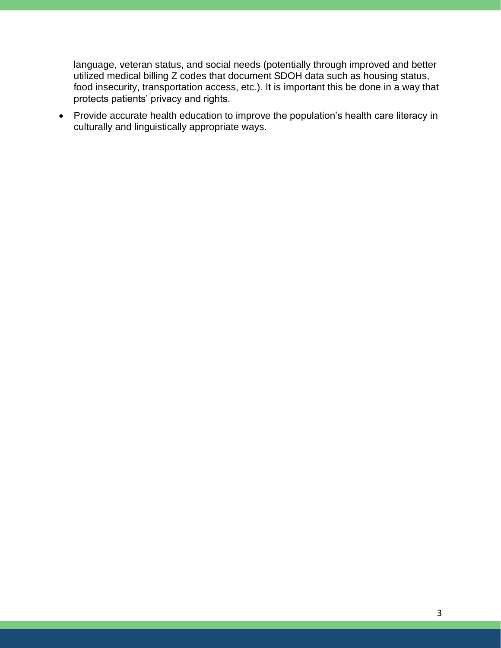language, veteran status, and social needs (potentially through improved and better utilized medical billing Z codes that document SDOH data such as housing status, food insecurity, transportation access, etc.). It is important this be done in a way that protects patients' privacy and rights.

• Provide accurate health education to improve the population's health care literacy in culturally and linguistically appropriate ways.